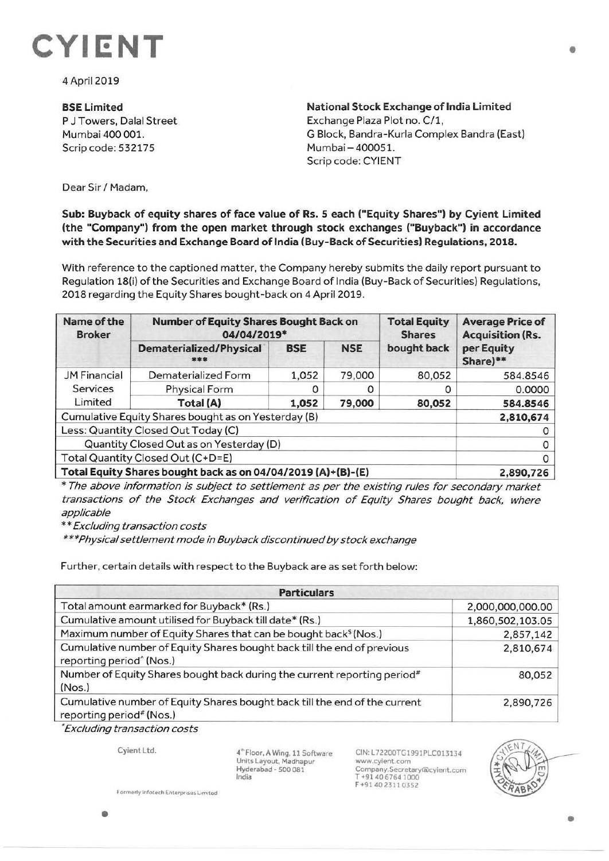

4 April 2019

**BSELimited**  P J Towers, Dalal Street Mumbai 400 001. Scrip code: 532175

**National Stock Exchange of India Limited**  Exchange Plaza Plot no. C/1, G Block, Bandra-Kurla Complex Sandra (East) Mumbai - 400051. Scrip code: CYIENT

Dear Sir / Madam,

## **Sub: Buyback of equity shares of face value of Rs. 5 each ("Equity Shares") by Cyient Limited (the "Company") from the open market through stock exchanges ("Buyback") in accordance**  with the Securities and Exchange Board of India (Buy-Back of Securities) Regulations, 2018.

With reference to the captioned matter, the Company hereby submits the daily report pursuant to Regulation 18(i) of the Securities and Exchange Board of India (Buy-Back of Securities) Regulations, 2018 regarding the Equity Shares bought-back on 4 April 2019.

| Name of the<br><b>Broker</b>                                 | <b>Number of Equity Shares Bought Back on</b><br>04/04/2019* |            |            | <b>Total Equity</b><br><b>Shares</b> | <b>Average Price of</b><br><b>Acquisition (Rs.</b> |
|--------------------------------------------------------------|--------------------------------------------------------------|------------|------------|--------------------------------------|----------------------------------------------------|
|                                                              | <b>Dematerialized/Physical</b><br>***                        | <b>BSE</b> | <b>NSE</b> | bought back                          | per Equity<br>Share)**                             |
| <b>JM Financial</b>                                          | Dematerialized Form                                          | 1,052      | 79,000     | 80,052                               | 584.8546                                           |
| Services<br>Limited                                          | Physical Form                                                | 0          | O          | 0                                    | 0.0000                                             |
|                                                              | Total (A)                                                    | 1,052      | 79,000     | 80,052                               | 584.8546                                           |
| Cumulative Equity Shares bought as on Yesterday (B)          | 2,810,674                                                    |            |            |                                      |                                                    |
| Less: Quantity Closed Out Today (C)                          |                                                              |            |            |                                      |                                                    |
| Quantity Closed Out as on Yesterday (D)                      |                                                              |            |            |                                      |                                                    |
| Total Quantity Closed Out (C+D=E)                            | 0                                                            |            |            |                                      |                                                    |
| Total Equity Shares bought back as on 04/04/2019 (A)+(B)-(E) |                                                              |            |            |                                      | 2,890,726                                          |

\* The above information is subject to settlement as per the existing rules for secondary market transactions of the Stock Exchanges and verification of Equity Shares bought back, where applicable

\*\* Excluding transaction costs

\*\*\*Physical settlement mode in Buyback discontinued by stock exchange

Further, certain details with respect to the Buyback are as set forth below:

| <b>Particulars</b>                                                                                              |                  |  |  |  |
|-----------------------------------------------------------------------------------------------------------------|------------------|--|--|--|
| Total amount earmarked for Buyback* (Rs.)                                                                       | 2,000,000,000.00 |  |  |  |
| Cumulative amount utilised for Buyback till date* (Rs.)                                                         | 1,860,502,103.05 |  |  |  |
| Maximum number of Equity Shares that can be bought back <sup>\$</sup> (Nos.)                                    | 2,857,142        |  |  |  |
| Cumulative number of Equity Shares bought back till the end of previous<br>reporting period <sup>^</sup> (Nos.) | 2,810,674        |  |  |  |
| Number of Equity Shares bought back during the current reporting period <sup>#</sup><br>(Nos.)                  | 80,052           |  |  |  |
| Cumulative number of Equity Shares bought back till the end of the current<br>reporting period# (Nos.)          | 2,890,726        |  |  |  |

'Excluding transaction costs

Cyient Ltd.

4" Floor, A Wing, 11 Software Units Layout, Madhapur Hyderabad - 500 081 India

CIN:L72200TG1991PLC013134 www.cyient.com Company.Secretary®cylent.com T +91406764 1000 F+914023110352



•